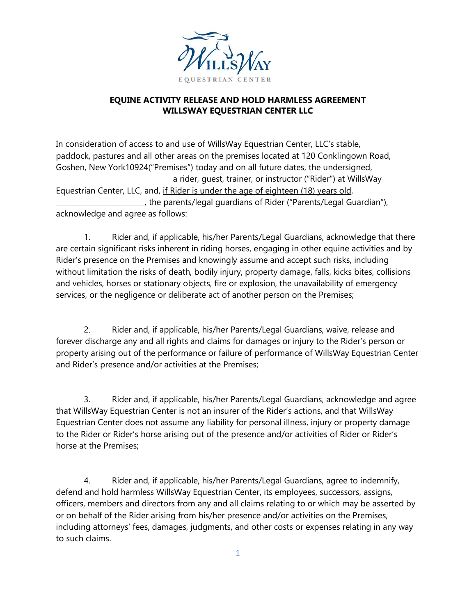

## **EQUINE ACTIVITY RELEASE AND HOLD HARMLESS AGREEMENT WILLSWAY EQUESTRIAN CENTER LLC**

In consideration of access to and use of WillsWay Equestrian Center, LLC's stable, paddock, pastures and all other areas on the premises located at 120 Conklingown Road, Goshen, New York10924("Premises") today and on all future dates, the undersigned, a rider, guest, trainer, or instructor ("Rider") at WillsWay Equestrian Center, LLC, and, if Rider is under the age of eighteen (18) years old, the parents/legal quardians of Rider ("Parents/Legal Guardian"), acknowledge and agree as follows:

1. Rider and, if applicable, his/her Parents/Legal Guardians, acknowledge that there are certain significant risks inherent in riding horses, engaging in other equine activities and by Rider's presence on the Premises and knowingly assume and accept such risks, including without limitation the risks of death, bodily injury, property damage, falls, kicks bites, collisions and vehicles, horses or stationary objects, fire or explosion, the unavailability of emergency services, or the negligence or deliberate act of another person on the Premises;

2. Rider and, if applicable, his/her Parents/Legal Guardians, waive, release and forever discharge any and all rights and claims for damages or injury to the Rider's person or property arising out of the performance or failure of performance of WillsWay Equestrian Center and Rider's presence and/or activities at the Premises;

3. Rider and, if applicable, his/her Parents/Legal Guardians, acknowledge and agree that WillsWay Equestrian Center is not an insurer of the Rider's actions, and that WillsWay Equestrian Center does not assume any liability for personal illness, injury or property damage to the Rider or Rider's horse arising out of the presence and/or activities of Rider or Rider's horse at the Premises;

4. Rider and, if applicable, his/her Parents/Legal Guardians, agree to indemnify, defend and hold harmless WillsWay Equestrian Center, its employees, successors, assigns, officers, members and directors from any and all claims relating to or which may be asserted by or on behalf of the Rider arising from his/her presence and/or activities on the Premises, including attorneys' fees, damages, judgments, and other costs or expenses relating in any way to such claims.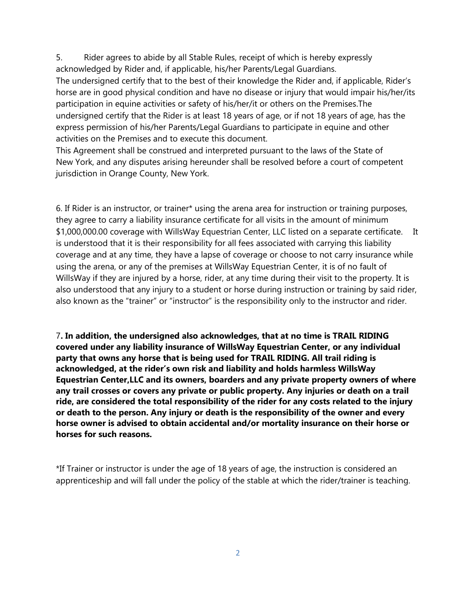5. Rider agrees to abide by all Stable Rules, receipt of which is hereby expressly acknowledged by Rider and, if applicable, his/her Parents/Legal Guardians. The undersigned certify that to the best of their knowledge the Rider and, if applicable, Rider's horse are in good physical condition and have no disease or injury that would impair his/her/its participation in equine activities or safety of his/her/it or others on the Premises.The undersigned certify that the Rider is at least 18 years of age, or if not 18 years of age, has the express permission of his/her Parents/Legal Guardians to participate in equine and other activities on the Premises and to execute this document.

This Agreement shall be construed and interpreted pursuant to the laws of the State of New York, and any disputes arising hereunder shall be resolved before a court of competent jurisdiction in Orange County, New York.

6. If Rider is an instructor, or trainer\* using the arena area for instruction or training purposes, they agree to carry a liability insurance certificate for all visits in the amount of minimum \$1,000,000.00 coverage with WillsWay Equestrian Center, LLC listed on a separate certificate. It is understood that it is their responsibility for all fees associated with carrying this liability coverage and at any time, they have a lapse of coverage or choose to not carry insurance while using the arena, or any of the premises at WillsWay Equestrian Center, it is of no fault of WillsWay if they are injured by a horse, rider, at any time during their visit to the property. It is also understood that any injury to a student or horse during instruction or training by said rider, also known as the "trainer" or "instructor" is the responsibility only to the instructor and rider.

7**. In addition, the undersigned also acknowledges, that at no time is TRAIL RIDING covered under any liability insurance of WillsWay Equestrian Center, or any individual party that owns any horse that is being used for TRAIL RIDING. All trail riding is acknowledged, at the rider's own risk and liability and holds harmless WillsWay Equestrian Center,LLC and its owners, boarders and any private property owners of where any trail crosses or covers any private or public property. Any injuries or death on a trail ride, are considered the total responsibility of the rider for any costs related to the injury or death to the person. Any injury or death is the responsibility of the owner and every horse owner is advised to obtain accidental and/or mortality insurance on their horse or horses for such reasons.** 

\*If Trainer or instructor is under the age of 18 years of age, the instruction is considered an apprenticeship and will fall under the policy of the stable at which the rider/trainer is teaching.